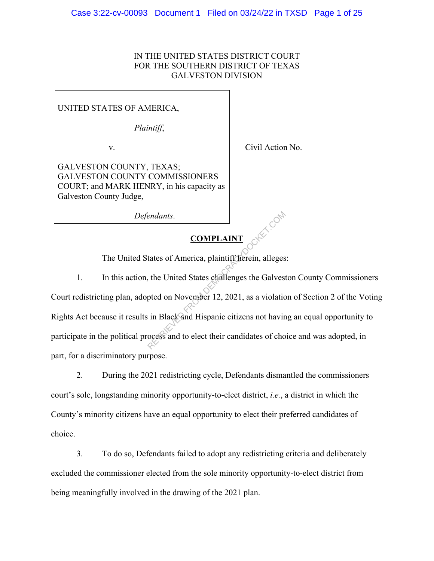# IN THE UNITED STATES DISTRICT COURT FOR THE SOUTHERN DISTRICT OF TEXAS GALVESTON DIVISION

## UNITED STATES OF AMERICA,

*Plaintiff*,

v.

Civil Action No.

GALVESTON COUNTY, TEXAS; GALVESTON COUNTY COMMISSIONERS COURT; and MARK HENRY, in his capacity as Galveston County Judge,

*Defendants*.

# **COMPLAINT**

The United States of America, plaintiff herein, alleges:

1. In this action, the United States challenges the Galveston County Commissioners Court redistricting plan, adopted on November 12, 2021, as a violation of Section 2 of the Voting Rights Act because it results in Black and Hispanic citizens not having an equal opportunity to participate in the political process and to elect their candidates of choice and was adopted, in part, for a discriminatory purpose. Endants.<br>
COMPLAINT<br>
tates of America, plaintiff fierein, alleges<br>
, the United States challenges the Galves<br>
pted on November 12, 2021, as a violatic<br>
in Black and Hispanic citizens not havin<br>
ocess and to elect their can

2. During the 2021 redistricting cycle, Defendants dismantled the commissioners court's sole, longstanding minority opportunity-to-elect district, *i.e.*, a district in which the County's minority citizens have an equal opportunity to elect their preferred candidates of choice.

3. To do so, Defendants failed to adopt any redistricting criteria and deliberately excluded the commissioner elected from the sole minority opportunity-to-elect district from being meaningfully involved in the drawing of the 2021 plan.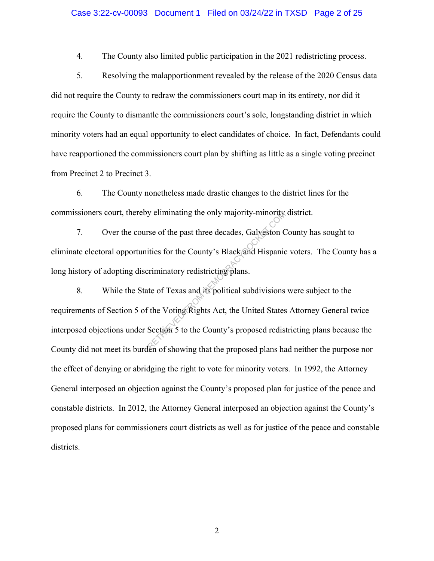#### Case 3:22-cv-00093 Document 1 Filed on 03/24/22 in TXSD Page 2 of 25

4. The County also limited public participation in the 2021 redistricting process.

5. Resolving the malapportionment revealed by the release of the 2020 Census data did not require the County to redraw the commissioners court map in its entirety, nor did it require the County to dismantle the commissioners court's sole, longstanding district in which minority voters had an equal opportunity to elect candidates of choice. In fact, Defendants could have reapportioned the commissioners court plan by shifting as little as a single voting precinct from Precinct 2 to Precinct 3.

6. The County nonetheless made drastic changes to the district lines for the commissioners court, thereby eliminating the only majority-minority district.

7. Over the course of the past three decades, Galveston County has sought to eliminate electoral opportunities for the County's Black and Hispanic voters. The County has a long history of adopting discriminatory redistricting plans.

8. While the State of Texas and its political subdivisions were subject to the requirements of Section 5 of the Voting Rights Act, the United States Attorney General twice interposed objections under Section 5 to the County's proposed redistricting plans because the County did not meet its burden of showing that the proposed plans had neither the purpose nor the effect of denying or abridging the right to vote for minority voters. In 1992, the Attorney General interposed an objection against the County's proposed plan for justice of the peace and constable districts. In 2012, the Attorney General interposed an objection against the County's proposed plans for commissioners court districts as well as for justice of the peace and constable districts. Expectition of the past three decades, Galveston C<br>
ities for the County's Black and Hispanic<br>
criminatory redistricting plans.<br>
the of Texas and its political subdivisions<br>
it is the Voting Rights Act, the United States<br>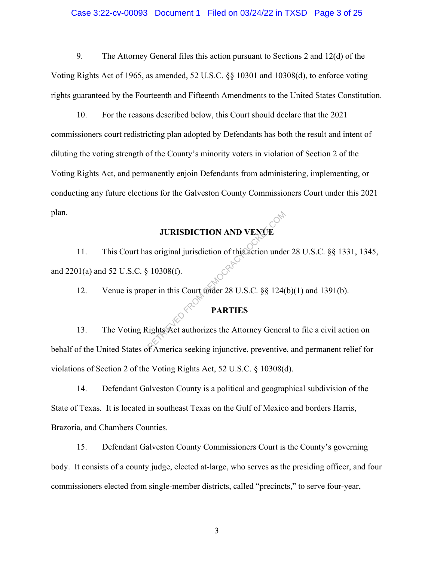### Case 3:22-cv-00093 Document 1 Filed on 03/24/22 in TXSD Page 3 of 25

9. The Attorney General files this action pursuant to Sections 2 and 12(d) of the Voting Rights Act of 1965, as amended, 52 U.S.C. §§ 10301 and 10308(d), to enforce voting rights guaranteed by the Fourteenth and Fifteenth Amendments to the United States Constitution.

10. For the reasons described below, this Court should declare that the 2021 commissioners court redistricting plan adopted by Defendants has both the result and intent of diluting the voting strength of the County's minority voters in violation of Section 2 of the Voting Rights Act, and permanently enjoin Defendants from administering, implementing, or conducting any future elections for the Galveston County Commissioners Court under this 2021 plan.

# **JURISDICTION AND VENUE**

11. This Court has original jurisdiction of this action under 28 U.S.C. §§ 1331, 1345, and 2201(a) and 52 U.S.C. § 10308(f). **JURISDICTION AND VENCE**<br>
IS original jurisdiction of this action unde<br>
10308(f).<br>
Der in this Court under 28 U.S.C.  $\S$  124(<br> **PARTIES**<br>
Lights Act authorizes the Attorney General<br>
FAmerica socking injunctive proventive

12. Venue is proper in this Court under 28 U.S.C. §§ 124(b)(1) and 1391(b).

# **PARTIES**

13. The Voting Rights Act authorizes the Attorney General to file a civil action on behalf of the United States of America seeking injunctive, preventive, and permanent relief for violations of Section 2 of the Voting Rights Act, 52 U.S.C. § 10308(d).

14. Defendant Galveston County is a political and geographical subdivision of the State of Texas. It is located in southeast Texas on the Gulf of Mexico and borders Harris, Brazoria, and Chambers Counties.

15. Defendant Galveston County Commissioners Court is the County's governing body. It consists of a county judge, elected at-large, who serves as the presiding officer, and four commissioners elected from single-member districts, called "precincts," to serve four-year,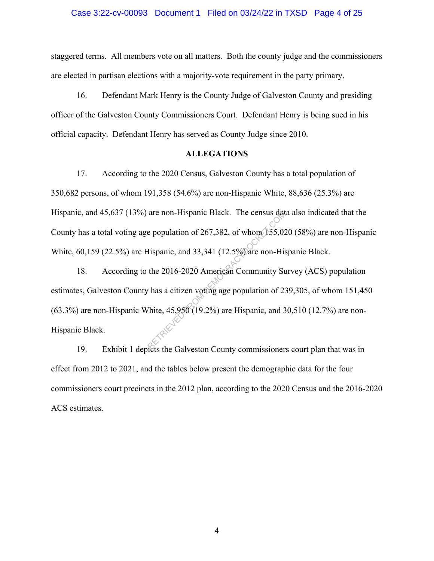#### Case 3:22-cv-00093 Document 1 Filed on 03/24/22 in TXSD Page 4 of 25

staggered terms. All members vote on all matters. Both the county judge and the commissioners are elected in partisan elections with a majority-vote requirement in the party primary.

16. Defendant Mark Henry is the County Judge of Galveston County and presiding officer of the Galveston County Commissioners Court. Defendant Henry is being sued in his official capacity. Defendant Henry has served as County Judge since 2010.

## **ALLEGATIONS**

17. According to the 2020 Census, Galveston County has a total population of 350,682 persons, of whom 191,358 (54.6%) are non-Hispanic White, 88,636 (25.3%) are Hispanic, and 45,637 (13%) are non-Hispanic Black. The census data also indicated that the County has a total voting age population of 267,382, of whom 155,020 (58%) are non-Hispanic White, 60,159 (22.5%) are Hispanic, and 33,341 (12.5%) are non-Hispanic Black.

18. According to the 2016-2020 American Community Survey (ACS) population estimates, Galveston County has a citizen voting age population of 239,305, of whom 151,450 (63.3%) are non-Hispanic White, 45,950 (19.2%) are Hispanic, and 30,510 (12.7%) are non-Hispanic Black. are non-Hispanic Black. The census date<br>
e population of 267,382, of whom 155,02<br>
Hispanic, and 33,341 (12.5%) are non-His<br>
the 2016-2020 American Community St<br>
the 2016-2020 American Community St<br>
Thite, 45,950 (19.2%) ar

19. Exhibit 1 depicts the Galveston County commissioners court plan that was in effect from 2012 to 2021, and the tables below present the demographic data for the four commissioners court precincts in the 2012 plan, according to the 2020 Census and the 2016-2020 ACS estimates.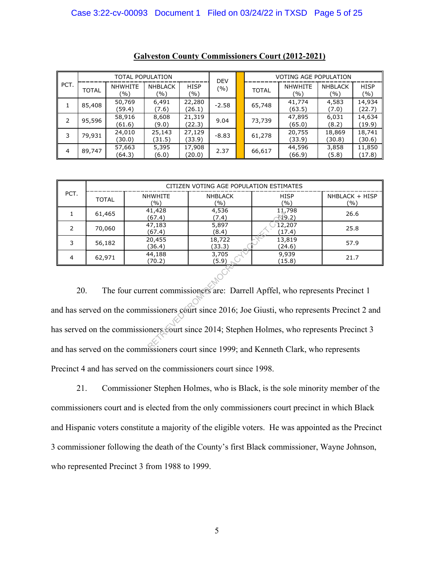| PCT. | <b>TOTAL POPULATION</b> |                       |                       |                    | <b>DEV</b> | <b>VOTING AGE POPULATION</b> |                       |                       |                    |
|------|-------------------------|-----------------------|-----------------------|--------------------|------------|------------------------------|-----------------------|-----------------------|--------------------|
|      | <b>TOTAL</b>            | <b>NHWHITE</b><br>(%) | <b>NHBLACK</b><br>(%) | <b>HISP</b><br>(%) | (%)        | <b>TOTAL</b>                 | <b>NHWHITE</b><br>(%) | <b>NHBLACK</b><br>(%) | <b>HISP</b><br>(%) |
|      | 85,408                  | 50,769<br>(59.4)      | 6,491<br>(7.6)        | 22,280<br>(26.1)   | $-2.58$    | 65,748                       | 41,774<br>(63.5)      | 4,583<br>(7.0)        | 14,934<br>(22.7)   |
| 2    | 95,596                  | 58,916<br>(61.6)      | 8,608<br>(9.0)        | 21,319<br>(22.3)   | 9.04       | 73,739                       | 47,895<br>(65.0)      | 6,031<br>(8.2)        | 14,634<br>(19.9)   |
| 3    | 79,931                  | 24,010<br>(30.0)      | 25,143<br>(31.5)      | 27,129<br>(33.9)   | $-8.83$    | 61,278                       | 20,755<br>(33.9)      | 18,869<br>(30.8)      | 18,741<br>(30.6)   |
| 4    | 89,747                  | 57,663<br>(64.3)      | 5,395<br>(6.0)        | 17,908<br>(20.0)   | 2.37       | 66,617                       | 44,596<br>(66.9)      | 3,858<br>(5.8)        | 11,850<br>(17.8)   |

|      | CITIZEN VOTING AGE POPULATION ESTIMATES |                       |                       |                    |                         |  |  |  |  |
|------|-----------------------------------------|-----------------------|-----------------------|--------------------|-------------------------|--|--|--|--|
| PCT. | <b>TOTAL</b>                            | <b>NHWHITE</b><br>(%) | <b>NHBLACK</b><br>(%) | <b>HISP</b><br>(%) | $NHBLACK + HISP$<br>(%) |  |  |  |  |
|      | 61,465                                  | 41,428<br>(67.4)      | 4,536<br>(7.4)        | 11,798<br>N9.2)    | 26.6                    |  |  |  |  |
|      | 70,060                                  | 47,183<br>(67.4)      | 5,897<br>(8.4)        | 12,207<br>(17.4)   | 25.8                    |  |  |  |  |
|      | 56,182                                  | 20,455<br>(36.4)      | 18,722<br>(33.3)      | 13,819<br>(24.6)   | 57.9                    |  |  |  |  |
| 4    | 62,971                                  | 44,188<br>(70.2)      | 3,705<br>(5.9)        | 9,939<br>(15.8)    | 21.7                    |  |  |  |  |

20. The four current commissioners are: Darrell Apffel, who represents Precinct 1 and has served on the commissioners court since 2016; Joe Giusti, who represents Precinct 2 and has served on the commissioners court since 2014; Stephen Holmes, who represents Precinct 3 and has served on the commissioners court since 1999; and Kenneth Clark, who represents Precinct 4 and has served on the commissioners court since 1998.  $\begin{array}{r} \n\text{R} \n\end{array}$ <br>
(67.4) (7.4) (7.4) (7.4)<br>
(67.4) (8.4) (8.4) (17<br>
(8.4) (8.4) (17<br>
(36.4) (33.3) (2<br>
(70.2) (5.9) (11<br>
(70.2) (5.9) (11<br>
ent commissioners are: Darrell Apffel, v<br>
issioners ceurt since 2016; Joe G

21. Commissioner Stephen Holmes, who is Black, is the sole minority member of the commissioners court and is elected from the only commissioners court precinct in which Black and Hispanic voters constitute a majority of the eligible voters. He was appointed as the Precinct 3 commissioner following the death of the County's first Black commissioner, Wayne Johnson, who represented Precinct 3 from 1988 to 1999.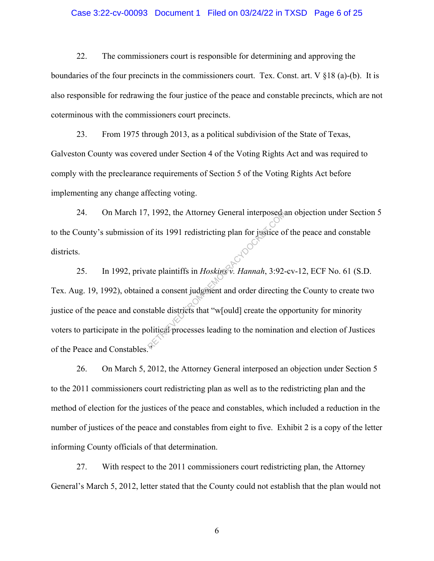## Case 3:22-cv-00093 Document 1 Filed on 03/24/22 in TXSD Page 6 of 25

22. The commissioners court is responsible for determining and approving the boundaries of the four precincts in the commissioners court. Tex. Const. art. V §18 (a)-(b). It is also responsible for redrawing the four justice of the peace and constable precincts, which are not coterminous with the commissioners court precincts.

23. From 1975 through 2013, as a political subdivision of the State of Texas, Galveston County was covered under Section 4 of the Voting Rights Act and was required to comply with the preclearance requirements of Section 5 of the Voting Rights Act before implementing any change affecting voting.

24. On March 17, 1992, the Attorney General interposed an objection under Section 5 to the County's submission of its 1991 redistricting plan for justice of the peace and constable districts.

25. In 1992, private plaintiffs in *Hoskins v. Hannah*, 3:92-cv-12, ECF No. 61 (S.D. Tex. Aug. 19, 1992), obtained a consent judgment and order directing the County to create two justice of the peace and constable districts that "w[ould] create the opportunity for minority voters to participate in the political processes leading to the nomination and election of Justices of the Peace and Constables." RETRIEVED FROM DETERMINIST THE POST OF 1992, the Attorney General interposed of tis 1991 redistricting plan for justice of the plaintiffs in *Hoskins*<sup>8</sup>, *Hannah*, 3:92-<br>ate plaintiffs in *Hoskins*<sup>8</sup>, *Hannah*, 3:92-<br>at

26. On March 5, 2012, the Attorney General interposed an objection under Section 5 to the 2011 commissioners court redistricting plan as well as to the redistricting plan and the method of election for the justices of the peace and constables, which included a reduction in the number of justices of the peace and constables from eight to five. Exhibit 2 is a copy of the letter informing County officials of that determination.

27. With respect to the 2011 commissioners court redistricting plan, the Attorney General's March 5, 2012, letter stated that the County could not establish that the plan would not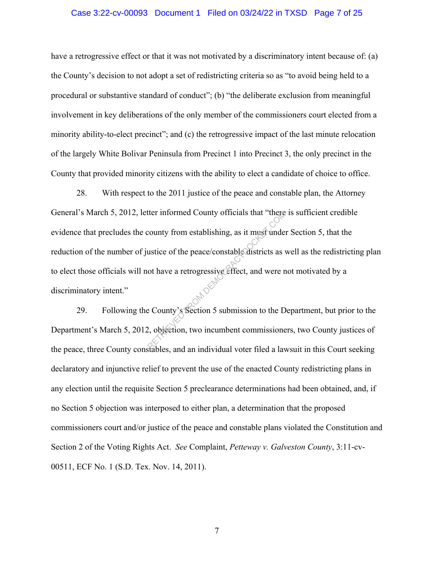### Case 3:22-cv-00093 Document 1 Filed on 03/24/22 in TXSD Page 7 of 25

have a retrogressive effect or that it was not motivated by a discriminatory intent because of: (a) the County's decision to not adopt a set of redistricting criteria so as "to avoid being held to a procedural or substantive standard of conduct"; (b) "the deliberate exclusion from meaningful involvement in key deliberations of the only member of the commissioners court elected from a minority ability-to-elect precinct"; and (c) the retrogressive impact of the last minute relocation of the largely White Bolivar Peninsula from Precinct 1 into Precinct 3, the only precinct in the County that provided minority citizens with the ability to elect a candidate of choice to office.

28. With respect to the 2011 justice of the peace and constable plan, the Attorney General's March 5, 2012, letter informed County officials that "there is sufficient credible evidence that precludes the county from establishing, as it must under Section 5, that the reduction of the number of justice of the peace/constable districts as well as the redistricting plan to elect those officials will not have a retrogressive effect, and were not motivated by a discriminatory intent." the informed County officials that "there<br>
county from establishing, as it must under<br>
ustice of the peace/constable districts as v<br>
ot have a retrogressive effect, and were r<br>
e County's Section 5 submission to the D<br>
2,

29. Following the County's Section 5 submission to the Department, but prior to the Department's March 5, 2012, objection, two incumbent commissioners, two County justices of the peace, three County constables, and an individual voter filed a lawsuit in this Court seeking declaratory and injunctive relief to prevent the use of the enacted County redistricting plans in any election until the requisite Section 5 preclearance determinations had been obtained, and, if no Section 5 objection was interposed to either plan, a determination that the proposed commissioners court and/or justice of the peace and constable plans violated the Constitution and Section 2 of the Voting Rights Act. *See* Complaint, *Petteway v. Galveston County*, 3:11-cv-00511, ECF No. 1 (S.D. Tex. Nov. 14, 2011).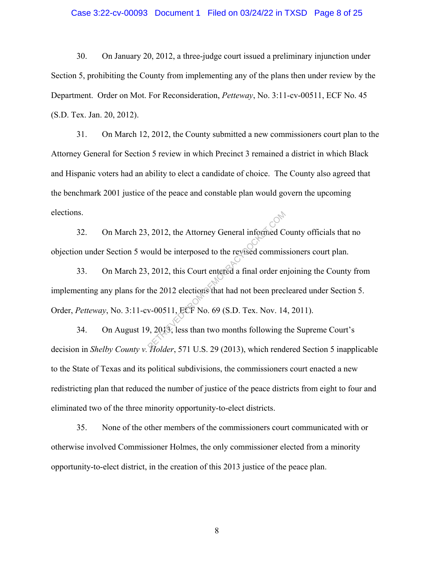### Case 3:22-cv-00093 Document 1 Filed on 03/24/22 in TXSD Page 8 of 25

30. On January 20, 2012, a three-judge court issued a preliminary injunction under Section 5, prohibiting the County from implementing any of the plans then under review by the Department. Order on Mot. For Reconsideration, *Petteway*, No. 3:11-cv-00511, ECF No. 45 (S.D. Tex. Jan. 20, 2012).

31. On March 12, 2012, the County submitted a new commissioners court plan to the Attorney General for Section 5 review in which Precinct 3 remained a district in which Black and Hispanic voters had an ability to elect a candidate of choice. The County also agreed that the benchmark 2001 justice of the peace and constable plan would govern the upcoming elections.

32. On March 23, 2012, the Attorney General informed County officials that no objection under Section 5 would be interposed to the revised commissioners court plan.

33. On March 23, 2012, this Court entered a final order enjoining the County from implementing any plans for the 2012 elections that had not been precleared under Section 5. Order, *Petteway*, No. 3:11-cv-00511, ECF No. 69 (S.D. Tex. Nov. 14, 2011). 2012, the Attorney General informed C<br>
bould be interposed to the revised commis<br>
2012, this Court entered a final order er<br>
the 2012 elections that had not been prec<br>
v-00511, ECF No. 69 (S.D. Tex. Nov. 14<br>
9, 2013, less

34. On August 19, 2013, less than two months following the Supreme Court's decision in *Shelby County v. Holder*, 571 U.S. 29 (2013), which rendered Section 5 inapplicable to the State of Texas and its political subdivisions, the commissioners court enacted a new redistricting plan that reduced the number of justice of the peace districts from eight to four and eliminated two of the three minority opportunity-to-elect districts.

35. None of the other members of the commissioners court communicated with or otherwise involved Commissioner Holmes, the only commissioner elected from a minority opportunity-to-elect district, in the creation of this 2013 justice of the peace plan.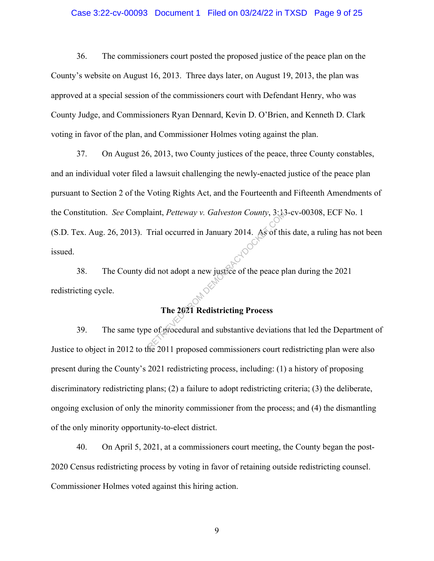## Case 3:22-cv-00093 Document 1 Filed on 03/24/22 in TXSD Page 9 of 25

36. The commissioners court posted the proposed justice of the peace plan on the County's website on August 16, 2013. Three days later, on August 19, 2013, the plan was approved at a special session of the commissioners court with Defendant Henry, who was County Judge, and Commissioners Ryan Dennard, Kevin D. O'Brien, and Kenneth D. Clark voting in favor of the plan, and Commissioner Holmes voting against the plan.

37. On August 26, 2013, two County justices of the peace, three County constables, and an individual voter filed a lawsuit challenging the newly-enacted justice of the peace plan pursuant to Section 2 of the Voting Rights Act, and the Fourteenth and Fifteenth Amendments of the Constitution. *See* Complaint, *Petteway v. Galveston County*, 3:13-cv-00308, ECF No. 1 (S.D. Tex. Aug. 26, 2013). Trial occurred in January 2014. As of this date, a ruling has not been issued. Haint, *Petteway v. Galveston County*, 3: N.<br>Trial occurred in January 2014. As of this<br>id not adopt a new justice of the peace p<br>The 2021 Redistricting Process<br>e of procedural and substantive deviation

38. The County did not adopt a new justice of the peace plan during the 2021 redistricting cycle.

# **The 2021 Redistricting Process**

39. The same type of procedural and substantive deviations that led the Department of Justice to object in 2012 to the 2011 proposed commissioners court redistricting plan were also present during the County's 2021 redistricting process, including: (1) a history of proposing discriminatory redistricting plans; (2) a failure to adopt redistricting criteria; (3) the deliberate, ongoing exclusion of only the minority commissioner from the process; and (4) the dismantling of the only minority opportunity-to-elect district.

40. On April 5, 2021, at a commissioners court meeting, the County began the post-2020 Census redistricting process by voting in favor of retaining outside redistricting counsel. Commissioner Holmes voted against this hiring action.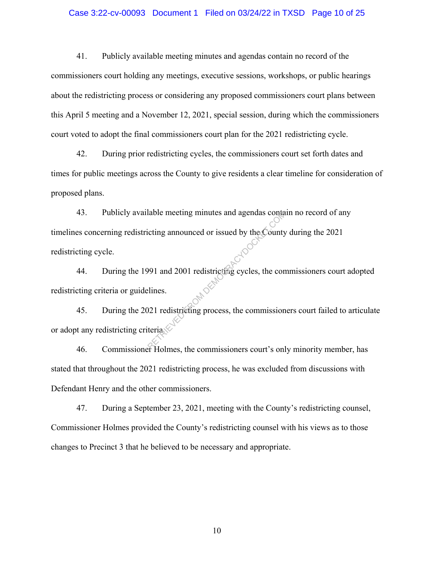#### Case 3:22-cv-00093 Document 1 Filed on 03/24/22 in TXSD Page 10 of 25

41. Publicly available meeting minutes and agendas contain no record of the commissioners court holding any meetings, executive sessions, workshops, or public hearings about the redistricting process or considering any proposed commissioners court plans between this April 5 meeting and a November 12, 2021, special session, during which the commissioners court voted to adopt the final commissioners court plan for the 2021 redistricting cycle.

42. During prior redistricting cycles, the commissioners court set forth dates and times for public meetings across the County to give residents a clear timeline for consideration of proposed plans.

43. Publicly available meeting minutes and agendas contain no record of any timelines concerning redistricting announced or issued by the County during the 2021 redistricting cycle. Transmitted and algendas contained the country of the County<br>1991 and 2001 redistricting cycles, the conditions.<br>21 redistricting process, the commission terials.

44. During the 1991 and 2001 redistricting cycles, the commissioners court adopted redistricting criteria or guidelines. <sup>20</sup><sup>2</sup><br>45. During the 2021 redistricting process, the commissioners court failed to articulate

or adopt any redistricting criteria.

46. Commissioner Holmes, the commissioners court's only minority member, has stated that throughout the 2021 redistricting process, he was excluded from discussions with Defendant Henry and the other commissioners.

47. During a September 23, 2021, meeting with the County's redistricting counsel, Commissioner Holmes provided the County's redistricting counsel with his views as to those changes to Precinct 3 that he believed to be necessary and appropriate.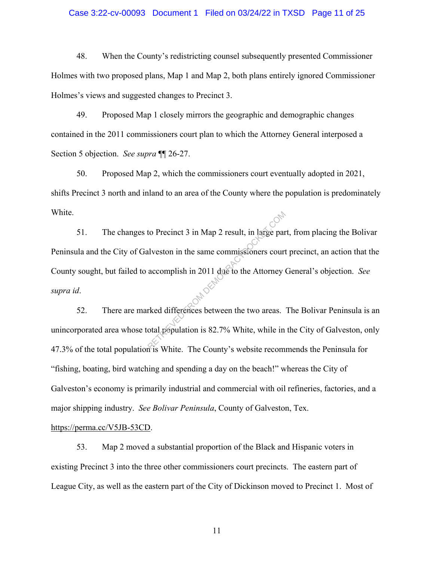#### Case 3:22-cv-00093 Document 1 Filed on 03/24/22 in TXSD Page 11 of 25

48. When the County's redistricting counsel subsequently presented Commissioner Holmes with two proposed plans, Map 1 and Map 2, both plans entirely ignored Commissioner Holmes's views and suggested changes to Precinct 3.

49. Proposed Map 1 closely mirrors the geographic and demographic changes contained in the 2011 commissioners court plan to which the Attorney General interposed a Section 5 objection. *See supra* ¶¶ 26-27.

50. Proposed Map 2, which the commissioners court eventually adopted in 2021, shifts Precinct 3 north and inland to an area of the County where the population is predominately White.

51. The changes to Precinct 3 in Map 2 result, in large part, from placing the Bolivar Peninsula and the City of Galveston in the same commissioners court precinct, an action that the County sought, but failed to accomplish in 2011 due to the Attorney General's objection. *See supra id*.  $52.$  There are marked differences between the two areas. The Bolivar Peninsula is an to Precinct 3 in Map 2 result, in large parally<br>alveston in the same commissioners court<br>accomplish in 2011 due to the Attorney<br>red differences between the two areas.<br>otal population is 82.7% White, while in

unincorporated area whose total population is 82.7% White, while in the City of Galveston, only 47.3% of the total population is White. The County's website recommends the Peninsula for "fishing, boating, bird watching and spending a day on the beach!" whereas the City of Galveston's economy is primarily industrial and commercial with oil refineries, factories, and a major shipping industry. *See Bolivar Peninsula*, County of Galveston, Tex.

https://perma.cc/V5JB-53CD.

53. Map 2 moved a substantial proportion of the Black and Hispanic voters in existing Precinct 3 into the three other commissioners court precincts. The eastern part of League City, as well as the eastern part of the City of Dickinson moved to Precinct 1. Most of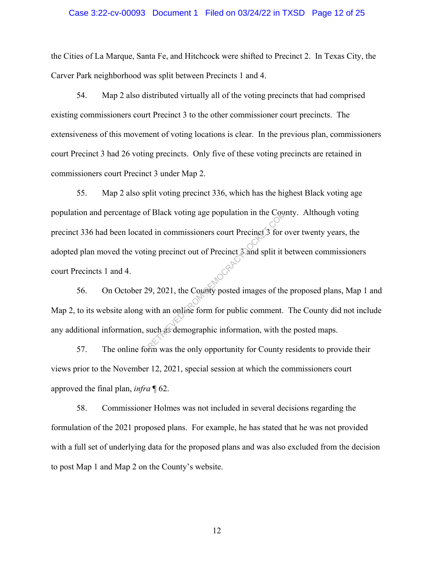#### Case 3:22-cv-00093 Document 1 Filed on 03/24/22 in TXSD Page 12 of 25

the Cities of La Marque, Santa Fe, and Hitchcock were shifted to Precinct 2. In Texas City, the Carver Park neighborhood was split between Precincts 1 and 4.

54. Map 2 also distributed virtually all of the voting precincts that had comprised existing commissioners court Precinct 3 to the other commissioner court precincts. The extensiveness of this movement of voting locations is clear. In the previous plan, commissioners court Precinct 3 had 26 voting precincts. Only five of these voting precincts are retained in commissioners court Precinct 3 under Map 2.

55. Map 2 also split voting precinct 336, which has the highest Black voting age population and percentage of Black voting age population in the County. Although voting precinct 336 had been located in commissioners court Precinct 3 for over twenty years, the adopted plan moved the voting precinct out of Precinct 3 and split it between commissioners court Precincts 1 and 4. RETRIEVED THE COMMUNITY OF COUNTY THE WAS demographic information, with the community of the county of the country of the country of the system was the only opportunity for County of the country of the country of the count

56. On October 29, 2021, the County posted images of the proposed plans, Map 1 and Map 2, to its website along with an online form for public comment. The County did not include any additional information, such as demographic information, with the posted maps.

57. The online form was the only opportunity for County residents to provide their views prior to the November 12, 2021, special session at which the commissioners court approved the final plan, *infra* ¶ 62.

58. Commissioner Holmes was not included in several decisions regarding the formulation of the 2021 proposed plans. For example, he has stated that he was not provided with a full set of underlying data for the proposed plans and was also excluded from the decision to post Map 1 and Map 2 on the County's website.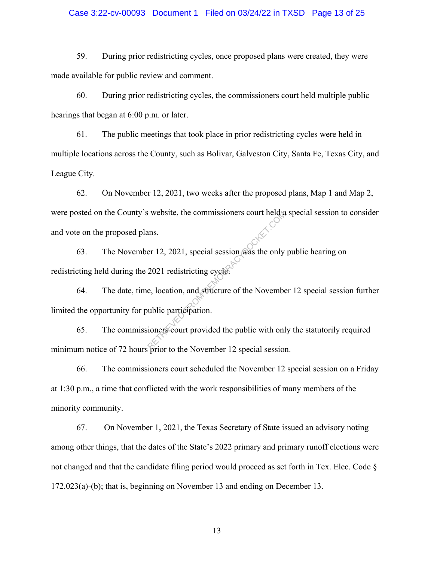## Case 3:22-cv-00093 Document 1 Filed on 03/24/22 in TXSD Page 13 of 25

59. During prior redistricting cycles, once proposed plans were created, they were made available for public review and comment.

60. During prior redistricting cycles, the commissioners court held multiple public hearings that began at 6:00 p.m. or later.

61. The public meetings that took place in prior redistricting cycles were held in multiple locations across the County, such as Bolivar, Galveston City, Santa Fe, Texas City, and League City.

62. On November 12, 2021, two weeks after the proposed plans, Map 1 and Map 2, were posted on the County's website, the commissioners court held a special session to consider and vote on the proposed plans.

63. The November 12, 2021, special session was the only public hearing on redistricting held during the 2021 redistricting cycle. Reflective between the commissioners court held as<br>ans.<br>er 12, 2021, special session was the only<br>2021 redistricting cycle.<br>e, location, and structure of the November<br>while participation.<br>ioners court provided the public w

64. The date, time, location, and structure of the November 12 special session further limited the opportunity for public participation.

65. The commissioners court provided the public with only the statutorily required minimum notice of 72 hours prior to the November 12 special session.

66. The commissioners court scheduled the November 12 special session on a Friday at 1:30 p.m., a time that conflicted with the work responsibilities of many members of the minority community.

67. On November 1, 2021, the Texas Secretary of State issued an advisory noting among other things, that the dates of the State's 2022 primary and primary runoff elections were not changed and that the candidate filing period would proceed as set forth in Tex. Elec. Code § 172.023(a)-(b); that is, beginning on November 13 and ending on December 13.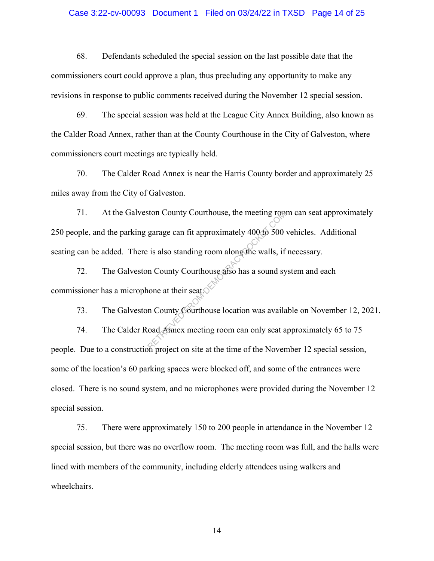#### Case 3:22-cv-00093 Document 1 Filed on 03/24/22 in TXSD Page 14 of 25

68. Defendants scheduled the special session on the last possible date that the commissioners court could approve a plan, thus precluding any opportunity to make any revisions in response to public comments received during the November 12 special session.

69. The special session was held at the League City Annex Building, also known as the Calder Road Annex, rather than at the County Courthouse in the City of Galveston, where commissioners court meetings are typically held.

70. The Calder Road Annex is near the Harris County border and approximately 25 miles away from the City of Galveston.

71. At the Galveston County Courthouse, the meeting room can seat approximately 250 people, and the parking garage can fit approximately 400 to 500 vehicles. Additional seating can be added. There is also standing room along the walls, if necessary. Ston County Courthouse, the meeting room<br>garage can fit approximately 400 to 500<br>is also standing room along the walls, if<br>n County Courthouse also has a sound sy<br>none at their seat.<br>n County Courthouse location was availa

72. The Galveston County Courthouse also has a sound system and each commissioner has a microphone at their seat.

73. The Galveston County Courthouse location was available on November 12, 2021. 74. The Calder Road Annex meeting room can only seat approximately 65 to 75 people. Due to a construction project on site at the time of the November 12 special session, some of the location's 60 parking spaces were blocked off, and some of the entrances were closed. There is no sound system, and no microphones were provided during the November 12 special session.

75. There were approximately 150 to 200 people in attendance in the November 12 special session, but there was no overflow room. The meeting room was full, and the halls were lined with members of the community, including elderly attendees using walkers and wheelchairs.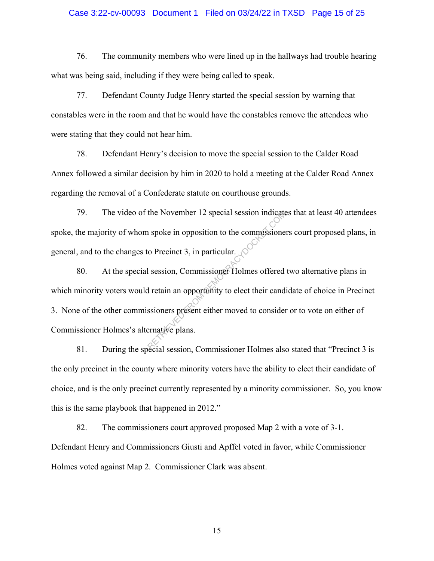### Case 3:22-cv-00093 Document 1 Filed on 03/24/22 in TXSD Page 15 of 25

76. The community members who were lined up in the hallways had trouble hearing what was being said, including if they were being called to speak.

77. Defendant County Judge Henry started the special session by warning that constables were in the room and that he would have the constables remove the attendees who were stating that they could not hear him.

78. Defendant Henry's decision to move the special session to the Calder Road Annex followed a similar decision by him in 2020 to hold a meeting at the Calder Road Annex regarding the removal of a Confederate statute on courthouse grounds.

79. The video of the November 12 special session indicates that at least 40 attendees spoke, the majority of whom spoke in opposition to the commissioners court proposed plans, in general, and to the changes to Precinct 3, in particular.

80. At the special session, Commissioner Holmes offered two alternative plans in which minority voters would retain an opportunity to elect their candidate of choice in Precinct 3. None of the other commissioners present either moved to consider or to vote on either of Commissioner Holmes's alternative plans. the November 12 special session indicate<br>
in spoke in opposition to the commissione<br>
co Precinct 3, in particular.<br>
I session, Commissioner Holmes offered<br>
i retain an opportunity to elect their cand<br>
ssioners present eith

81. During the special session, Commissioner Holmes also stated that "Precinct 3 is the only precinct in the county where minority voters have the ability to elect their candidate of choice, and is the only precinct currently represented by a minority commissioner. So, you know this is the same playbook that happened in 2012."

82. The commissioners court approved proposed Map 2 with a vote of 3-1. Defendant Henry and Commissioners Giusti and Apffel voted in favor, while Commissioner Holmes voted against Map 2. Commissioner Clark was absent.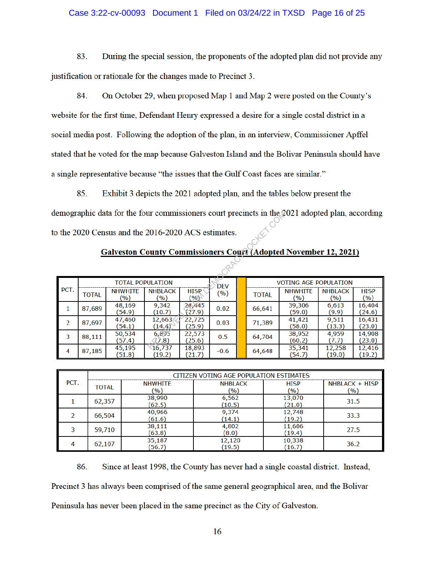## Case 3:22-cv-00093 Document 1 Filed on 03/24/22 in TXSD Page 16 of 25

83. During the special session, the proponents of the adopted plan did not provide any justification or rationale for the changes made to Precinct 3.

84. On October 29, when proposed Map 1 and Map 2 were posted on the County's website for the first time, Defendant Henry expressed a desire for a single costal district in a social media post. Following the adoption of the plan, in an interview, Commissioner Apffel stated that he voted for the map because Galveston Island and the Bolivar Peninsula should have a single representative because "the issues that the Gulf Coast faces are similar."

Exhibit 3 depicts the 2021 adopted plan, and the tables below present the 85.

| emographic data for the four commissioners court precincts in the 2021 adopted plan, according |                                       |                       |                       |                       |        |  |                              |                                   |                       |                       |
|------------------------------------------------------------------------------------------------|---------------------------------------|-----------------------|-----------------------|-----------------------|--------|--|------------------------------|-----------------------------------|-----------------------|-----------------------|
| the 2020 Census and the 2016-2020 ACS estimates.                                               |                                       |                       |                       |                       |        |  |                              |                                   |                       |                       |
| <b>Galveston County Commissioners Court (Adopted November 12, 2021)</b>                        |                                       |                       |                       |                       |        |  |                              |                                   |                       |                       |
|                                                                                                |                                       |                       |                       |                       |        |  |                              |                                   |                       |                       |
|                                                                                                | <b>TOTAL POPULATION</b><br><b>DEV</b> |                       |                       |                       |        |  | <b>VOTING AGE POPULATION</b> |                                   |                       |                       |
| PCT.                                                                                           | <b>TOTAL</b>                          | <b>NHWHITE</b><br>(%) | <b>NHBLACK</b><br>(%) | <b>HISP</b><br>$\sim$ | (%)    |  | <b>TOTAL</b>                 | <b>NHWHITE</b><br>$(\frac{9}{6})$ | <b>NHBLACK</b><br>(%) | <b>HISP</b><br>$(\%)$ |
| 1                                                                                              | 87,689                                | 48,169<br>(54.9)      | 9.342<br>(10.7)       | 24.445<br>(27.9)      | 0.02   |  | 66,641                       | 39,306<br>(59.0)                  | 6,613<br>(9.9)        | 16,404<br>(24.6)      |
| 2                                                                                              | 87,697                                | 47,460<br>(54.1)      | 12,663<br>(14.4)      | 22,725<br>(25.9)      | 0.03   |  | 71,389                       | 41,421<br>(58.0)                  | 9,511<br>(13.3)       | 16,431<br>(23.0)      |
| 3                                                                                              | 88,111                                | 50,534<br>(57.4)      | 6.895<br>(7.8)        | 22,573<br>(25.6)      | 0.5    |  | 64,704                       | 38,952<br>(60.2)                  | 4,959<br>(7.7)        | 14,908<br>(23.0)      |
| 4                                                                                              | 87,185                                | 45,195<br>(51.8)      | 16,737<br>(19.2)      | 18,893<br>(21.7)      | $-0.6$ |  | 64,648                       | 35,341<br>(54.7)                  | 12,258<br>(19.0)      | 12,416<br>(19.2)      |

| <b>Galveston County Commissioners Court (Adopted November 12, 2021)</b> |  |  |
|-------------------------------------------------------------------------|--|--|
|                                                                         |  |  |

| PCT. | CITIZEN VOTING AGE POPULATION ESTIMATES |                |                |             |                |  |  |  |  |
|------|-----------------------------------------|----------------|----------------|-------------|----------------|--|--|--|--|
|      | <b>TOTAL</b>                            | <b>NHWHITE</b> | <b>NHBLACK</b> | <b>HISP</b> | NHBLACK + HISP |  |  |  |  |
|      |                                         | (%)            | (9/0)          | (%)         | (%)            |  |  |  |  |
|      | 62,357                                  | 38,990         | 6,562          | 13,070      | 31.5           |  |  |  |  |
|      |                                         | (62.5)         | (10.5)         | (21.0)      |                |  |  |  |  |
|      | 66,504                                  | 40,966         | 9,374          | 12,748      | 33.3           |  |  |  |  |
|      |                                         | (61.6)         | (14.1)         | (19.2)      |                |  |  |  |  |
|      | 59,710                                  | 38,111         | 4,802          | 11,606      | 27.5           |  |  |  |  |
|      |                                         | (63.8)         | (8.0)          | (19.4)      |                |  |  |  |  |
| 4    | 62,107                                  | 35,187         | 12,120         | 10,338      |                |  |  |  |  |
|      |                                         | (56.7)         | (19.5)         | (16.7)      | 36.2           |  |  |  |  |

86. Since at least 1998, the County has never had a single coastal district. Instead, Precinct 3 has always been comprised of the same general geographical area, and the Bolivar Peninsula has never been placed in the same precinct as the City of Galveston.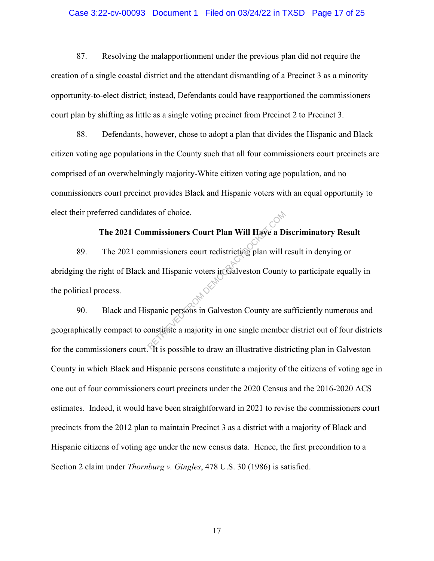#### Case 3:22-cv-00093 Document 1 Filed on 03/24/22 in TXSD Page 17 of 25

87. Resolving the malapportionment under the previous plan did not require the creation of a single coastal district and the attendant dismantling of a Precinct 3 as a minority opportunity-to-elect district; instead, Defendants could have reapportioned the commissioners court plan by shifting as little as a single voting precinct from Precinct 2 to Precinct 3.

88. Defendants, however, chose to adopt a plan that divides the Hispanic and Black citizen voting age populations in the County such that all four commissioners court precincts are comprised of an overwhelmingly majority-White citizen voting age population, and no commissioners court precinct provides Black and Hispanic voters with an equal opportunity to elect their preferred candidates of choice.

# **The 2021 Commissioners Court Plan Will Have a Discriminatory Result**

89. The 2021 commissioners court redistricting plan will result in denying or abridging the right of Black and Hispanic voters in Galveston County to participate equally in the political process. <sup>201</sup> Black and Hispanic persons in Galveston County are sufficiently numerous and 90. tes of choice.<br>
International Countries Court Plan Will Have a D<br>
International Hispanic voters in Galveston County<br>
Spanic persons in Galveston County are s<br>
onstitute a majority in one single membe

geographically compact to constitute a majority in one single member district out of four districts for the commissioners court. It is possible to draw an illustrative districting plan in Galveston County in which Black and Hispanic persons constitute a majority of the citizens of voting age in one out of four commissioners court precincts under the 2020 Census and the 2016-2020 ACS estimates. Indeed, it would have been straightforward in 2021 to revise the commissioners court precincts from the 2012 plan to maintain Precinct 3 as a district with a majority of Black and Hispanic citizens of voting age under the new census data. Hence, the first precondition to a Section 2 claim under *Thornburg v. Gingles*, 478 U.S. 30 (1986) is satisfied.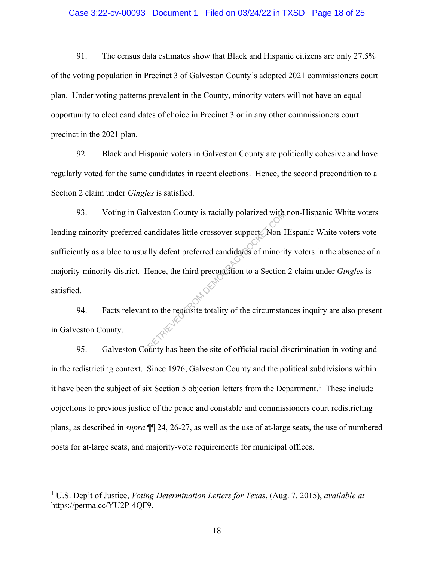#### Case 3:22-cv-00093 Document 1 Filed on 03/24/22 in TXSD Page 18 of 25

91. The census data estimates show that Black and Hispanic citizens are only 27.5% of the voting population in Precinct 3 of Galveston County's adopted 2021 commissioners court plan. Under voting patterns prevalent in the County, minority voters will not have an equal opportunity to elect candidates of choice in Precinct 3 or in any other commissioners court precinct in the 2021 plan.

92. Black and Hispanic voters in Galveston County are politically cohesive and have regularly voted for the same candidates in recent elections. Hence, the second precondition to a Section 2 claim under *Gingles* is satisfied.

93. Voting in Galveston County is racially polarized with non-Hispanic White voters lending minority-preferred candidates little crossover support. Non-Hispanic White voters vote sufficiently as a bloc to usually defeat preferred candidates of minority voters in the absence of a majority-minority district. Hence, the third precondition to a Section 2 claim under *Gingles* is satisfied. 94. Facts relevant to the requisite totality of the circumstances inquiry are also present Iveston County is racially polarized with<br>andidates little crossover support Non-I<br>lly defeat preferred candidates of minori<br>fence, the third precordition to a Section<br>of the circumstance of the circumstance

in Galveston County.

95. Galveston County has been the site of official racial discrimination in voting and in the redistricting context. Since 1976, Galveston County and the political subdivisions within it have been the subject of six Section 5 objection letters from the Department.<sup>1</sup> These include objections to previous justice of the peace and constable and commissioners court redistricting plans, as described in *supra* ¶¶ 24, 26-27, as well as the use of at-large seats, the use of numbered posts for at-large seats, and majority-vote requirements for municipal offices.

 $\overline{a}$ 

<sup>1</sup> U.S. Dep't of Justice, *Voting Determination Letters for Texas*, (Aug. 7. 2015), *available at*  https://perma.cc/YU2P-4QF9.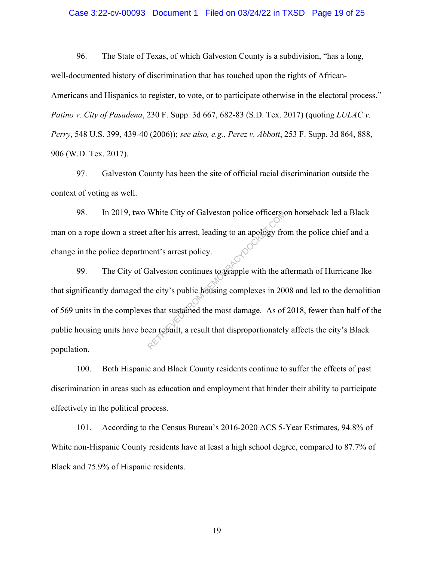#### Case 3:22-cv-00093 Document 1 Filed on 03/24/22 in TXSD Page 19 of 25

96. The State of Texas, of which Galveston County is a subdivision, "has a long, well-documented history of discrimination that has touched upon the rights of African-Americans and Hispanics to register, to vote, or to participate otherwise in the electoral process." *Patino v. City of Pasadena*, 230 F. Supp. 3d 667, 682-83 (S.D. Tex. 2017) (quoting *LULAC v. Perry*, 548 U.S. 399, 439-40 (2006)); *see also, e.g.*, *Perez v. Abbott*, 253 F. Supp. 3d 864, 888, 906 (W.D. Tex. 2017).

97. Galveston County has been the site of official racial discrimination outside the context of voting as well.

98. In 2019, two White City of Galveston police officers on horseback led a Black man on a rope down a street after his arrest, leading to an apology from the police chief and a change in the police department's arrest policy.

99. The City of Galveston continues to grapple with the aftermath of Hurricane Ike that significantly damaged the city's public housing complexes in 2008 and led to the demolition of 569 units in the complexes that sustained the most damage. As of 2018, fewer than half of the public housing units have been rebuilt, a result that disproportionately affects the city's Black population. White City of Galveston police officers<br>after his arrest, leading to an apology fro<br>nent's arrest policy.<br>Salveston continues to grapple with the at<br>ne city's public housing complexes in 200<br>ss that sustained the most dama

100. Both Hispanic and Black County residents continue to suffer the effects of past discrimination in areas such as education and employment that hinder their ability to participate effectively in the political process.

101. According to the Census Bureau's 2016-2020 ACS 5-Year Estimates, 94.8% of White non-Hispanic County residents have at least a high school degree, compared to 87.7% of Black and 75.9% of Hispanic residents.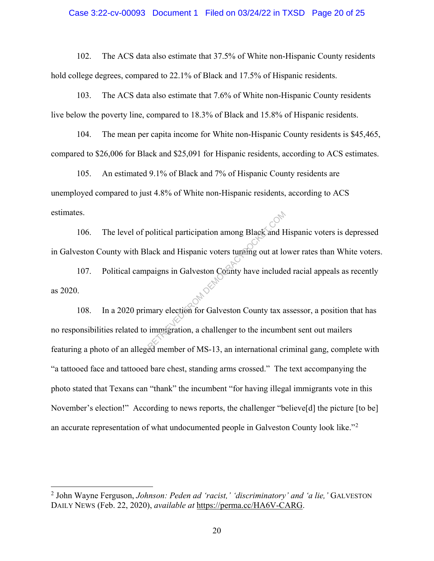#### Case 3:22-cv-00093 Document 1 Filed on 03/24/22 in TXSD Page 20 of 25

102. The ACS data also estimate that 37.5% of White non-Hispanic County residents hold college degrees, compared to 22.1% of Black and 17.5% of Hispanic residents.

103. The ACS data also estimate that 7.6% of White non-Hispanic County residents live below the poverty line, compared to 18.3% of Black and 15.8% of Hispanic residents.

104. The mean per capita income for White non-Hispanic County residents is \$45,465, compared to \$26,006 for Black and \$25,091 for Hispanic residents, according to ACS estimates.

105. An estimated 9.1% of Black and 7% of Hispanic County residents are unemployed compared to just 4.8% of White non-Hispanic residents, according to ACS estimates.

106. The level of political participation among Black and Hispanic voters is depressed in Galveston County with Black and Hispanic voters turning out at lower rates than White voters.

107. Political campaigns in Galveston County have included racial appeals as recently as 2020.

108. In a 2020 primary election for Galveston County tax assessor, a position that has no responsibilities related to immigration, a challenger to the incumbent sent out mailers featuring a photo of an alleged member of MS-13, an international criminal gang, complete with "a tattooed face and tattooed bare chest, standing arms crossed." The text accompanying the photo stated that Texans can "thank" the incumbent "for having illegal immigrants vote in this November's election!" According to news reports, the challenger "believe[d] the picture [to be] an accurate representation of what undocumented people in Galveston County look like."<sup>2</sup> Poolitical participation among Black and Hispanic voters turning out at lo<br>paigns in Galveston County have include<br>mary election for Galveston County tax a<br>immigration, a challenger to the incumb

 $\overline{a}$ 

<sup>2</sup> John Wayne Ferguson, *Johnson: Peden ad 'racist,' 'discriminatory' and 'a lie,'* GALVESTON DAILY NEWS (Feb. 22, 2020), *available at* https://perma.cc/HA6V-CARG.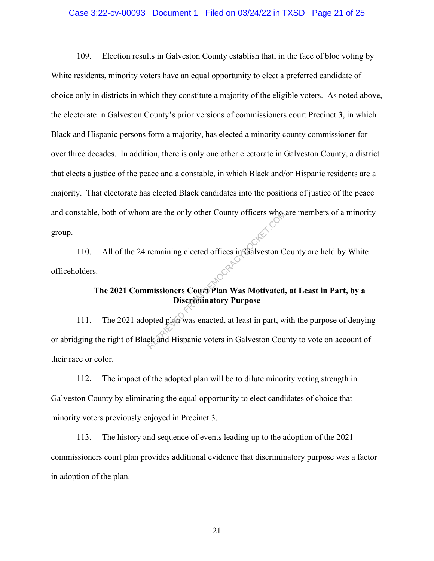#### Case 3:22-cv-00093 Document 1 Filed on 03/24/22 in TXSD Page 21 of 25

109. Election results in Galveston County establish that, in the face of bloc voting by White residents, minority voters have an equal opportunity to elect a preferred candidate of choice only in districts in which they constitute a majority of the eligible voters. As noted above, the electorate in Galveston County's prior versions of commissioners court Precinct 3, in which Black and Hispanic persons form a majority, has elected a minority county commissioner for over three decades. In addition, there is only one other electorate in Galveston County, a district that elects a justice of the peace and a constable, in which Black and/or Hispanic residents are a majority. That electorate has elected Black candidates into the positions of justice of the peace and constable, both of whom are the only other County officers who are members of a minority group.

110. All of the 24 remaining elected offices in Galveston County are held by White officeholders.

# **The 2021 Commissioners Court Plan Was Motivated, at Least in Part, by a Discriminatory Purpose**

111. The 2021 adopted plan was enacted, at least in part, with the purpose of denying or abridging the right of Black and Hispanic voters in Galveston County to vote on account of their race or color. The country of the country of the country of the country of the country of the control of the country of the country of the control of the control of the control of the control of the control of the control of the control

112. The impact of the adopted plan will be to dilute minority voting strength in Galveston County by eliminating the equal opportunity to elect candidates of choice that minority voters previously enjoyed in Precinct 3.

113. The history and sequence of events leading up to the adoption of the 2021 commissioners court plan provides additional evidence that discriminatory purpose was a factor in adoption of the plan.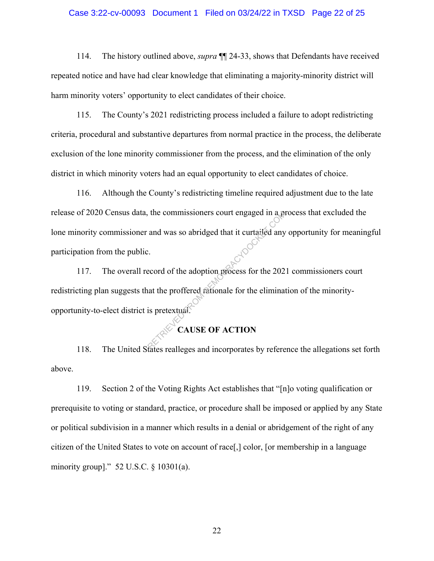#### Case 3:22-cv-00093 Document 1 Filed on 03/24/22 in TXSD Page 22 of 25

114. The history outlined above, *supra* ¶¶ 24-33, shows that Defendants have received repeated notice and have had clear knowledge that eliminating a majority-minority district will harm minority voters' opportunity to elect candidates of their choice.

115. The County's 2021 redistricting process included a failure to adopt redistricting criteria, procedural and substantive departures from normal practice in the process, the deliberate exclusion of the lone minority commissioner from the process, and the elimination of the only district in which minority voters had an equal opportunity to elect candidates of choice.

116. Although the County's redistricting timeline required adjustment due to the late release of 2020 Census data, the commissioners court engaged in a process that excluded the lone minority commissioner and was so abridged that it curtailed any opportunity for meaningful participation from the public.

117. The overall record of the adoption process for the 2021 commissioners court redistricting plan suggests that the proffered rationale for the elimination of the minorityopportunity-to-elect district is pretextual. The commissioners court engaged in a position<br>and was so abridged that it curtailed any<br>execord of the adoption process for the 202<br>aat the proffered rationale for the elimination is pretextual.

# **CAUSE OF ACTION**

118. The United States realleges and incorporates by reference the allegations set forth above.

119. Section 2 of the Voting Rights Act establishes that "[n]o voting qualification or prerequisite to voting or standard, practice, or procedure shall be imposed or applied by any State or political subdivision in a manner which results in a denial or abridgement of the right of any citizen of the United States to vote on account of race[,] color, [or membership in a language minority group]." 52 U.S.C. § 10301(a).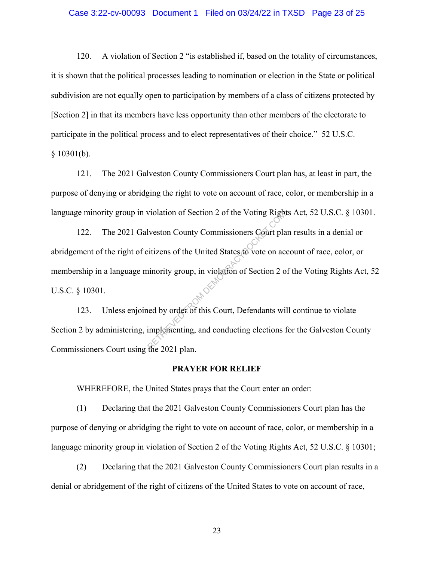#### Case 3:22-cv-00093 Document 1 Filed on 03/24/22 in TXSD Page 23 of 25

120. A violation of Section 2 "is established if, based on the totality of circumstances, it is shown that the political processes leading to nomination or election in the State or political subdivision are not equally open to participation by members of a class of citizens protected by [Section 2] in that its members have less opportunity than other members of the electorate to participate in the political process and to elect representatives of their choice." 52 U.S.C.  $§ 10301(b).$ 

121. The 2021 Galveston County Commissioners Court plan has, at least in part, the purpose of denying or abridging the right to vote on account of race, color, or membership in a language minority group in violation of Section 2 of the Voting Rights Act, 52 U.S.C. § 10301.

122. The 2021 Galveston County Commissioners Court plan results in a denial or abridgement of the right of citizens of the United States to vote on account of race, color, or membership in a language minority group, in violation of Section 2 of the Voting Rights Act, 52 U.S.C. § 10301.  $123.$  Unless enjoined by order of this Court, Defendants will continue to violate Violation of Section 2 of the Voting Right<br>Iveston County Commissioners Court plat<br>itizens of the United States fo vote on ac<br>iniority group, in violation of Section 2 of<br>the Social properties of this Court, Defendants wit

Section 2 by administering, implementing, and conducting elections for the Galveston County Commissioners Court using the 2021 plan.

### **PRAYER FOR RELIEF**

WHEREFORE, the United States prays that the Court enter an order:

(1) Declaring that the 2021 Galveston County Commissioners Court plan has the purpose of denying or abridging the right to vote on account of race, color, or membership in a language minority group in violation of Section 2 of the Voting Rights Act, 52 U.S.C. § 10301;

(2) Declaring that the 2021 Galveston County Commissioners Court plan results in a denial or abridgement of the right of citizens of the United States to vote on account of race,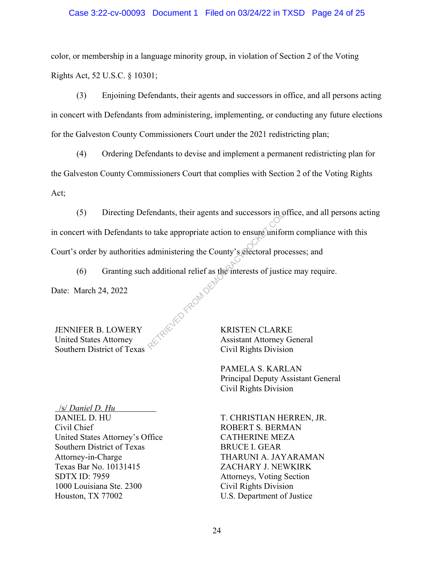## Case 3:22-cv-00093 Document 1 Filed on 03/24/22 in TXSD Page 24 of 25

color, or membership in a language minority group, in violation of Section 2 of the Voting Rights Act, 52 U.S.C. § 10301;

(3) Enjoining Defendants, their agents and successors in office, and all persons acting in concert with Defendants from administering, implementing, or conducting any future elections for the Galveston County Commissioners Court under the 2021 redistricting plan;

(4) Ordering Defendants to devise and implement a permanent redistricting plan for the Galveston County Commissioners Court that complies with Section 2 of the Voting Rights Act;

(5) Directing Defendants, their agents and successors in office, and all persons acting in concert with Defendants to take appropriate action to ensure uniform compliance with this Court's order by authorities administering the County's electoral processes; and

(6) Granting such additional relief as the interests of justice may require. ARETRIEVED FROM DEMOC

Date: March 24, 2022

JENNIFER B. LOWERY United States Attorney Southern District of Texas KRISTEN CLARKE Assistant Attorney General Civil Rights Division

PAMELA S. KARLAN Principal Deputy Assistant General Civil Rights Division

 /s/ *Daniel D. Hu* DANIEL D. HU Civil Chief United States Attorney's Office Southern District of Texas Attorney-in-Charge Texas Bar No. 10131415 SDTX ID: 7959 1000 Louisiana Ste. 2300 Houston, TX 77002

T. CHRISTIAN HERREN, JR. ROBERT S. BERMAN CATHERINE MEZA BRUCE I. GEAR THARUNI A. JAYARAMAN ZACHARY J. NEWKIRK Attorneys, Voting Section Civil Rights Division U.S. Department of Justice